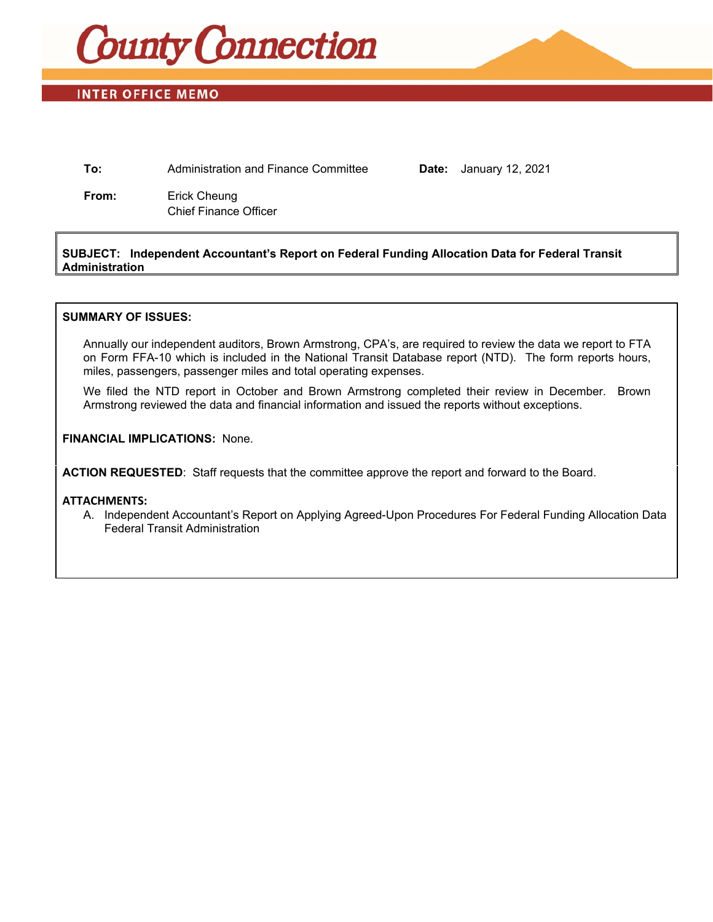

# **INTER OFFICE MEMO**

**To:** Administration and Finance Committee **Date:** January 12, 2021

**From:** Erick Cheung Chief Finance Officer

### **SUBJECT: Independent Accountant's Report on Federal Funding Allocation Data for Federal Transit Administration**

#### **SUMMARY OF ISSUES:**

Annually our independent auditors, Brown Armstrong, CPA's, are required to review the data we report to FTA on Form FFA-10 which is included in the National Transit Database report (NTD). The form reports hours, miles, passengers, passenger miles and total operating expenses.

We filed the NTD report in October and Brown Armstrong completed their review in December. Brown Armstrong reviewed the data and financial information and issued the reports without exceptions.

#### **FINANCIAL IMPLICATIONS:** None.

**ACTION REQUESTED**: Staff requests that the committee approve the report and forward to the Board.

#### **ATTACHMENTS:**

A. Independent Accountant's Report on Applying Agreed-Upon Procedures For Federal Funding Allocation Data Federal Transit Administration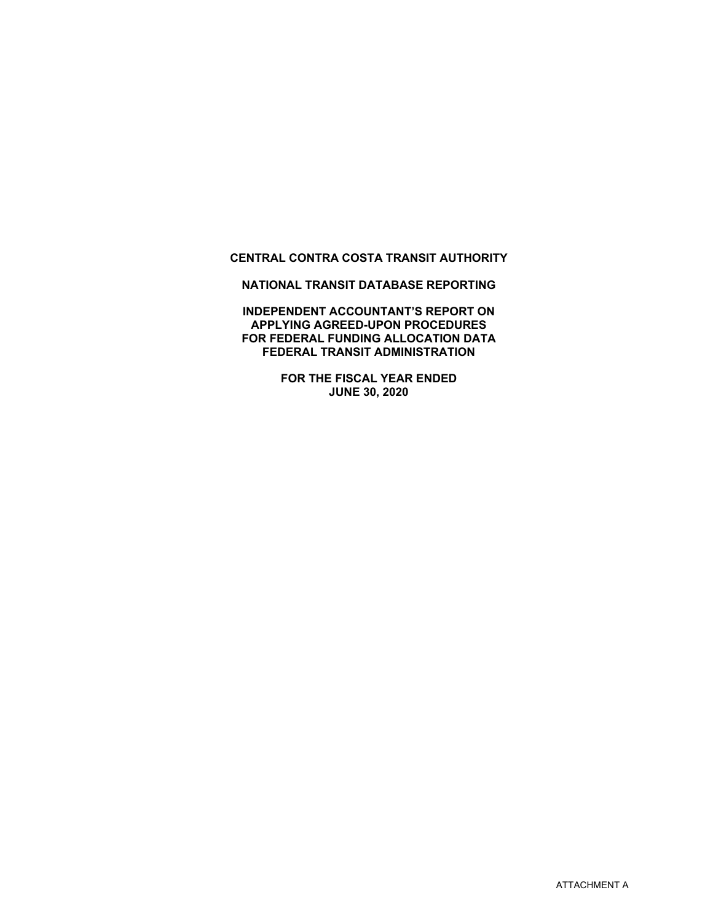# **CENTRAL CONTRA COSTA TRANSIT AUTHORITY**

**NATIONAL TRANSIT DATABASE REPORTING** 

**INDEPENDENT ACCOUNTANT'S REPORT ON APPLYING AGREED-UPON PROCEDURES FOR FEDERAL FUNDING ALLOCATION DATA FEDERAL TRANSIT ADMINISTRATION**

> **FOR THE FISCAL YEAR ENDED JUNE 30, 2020**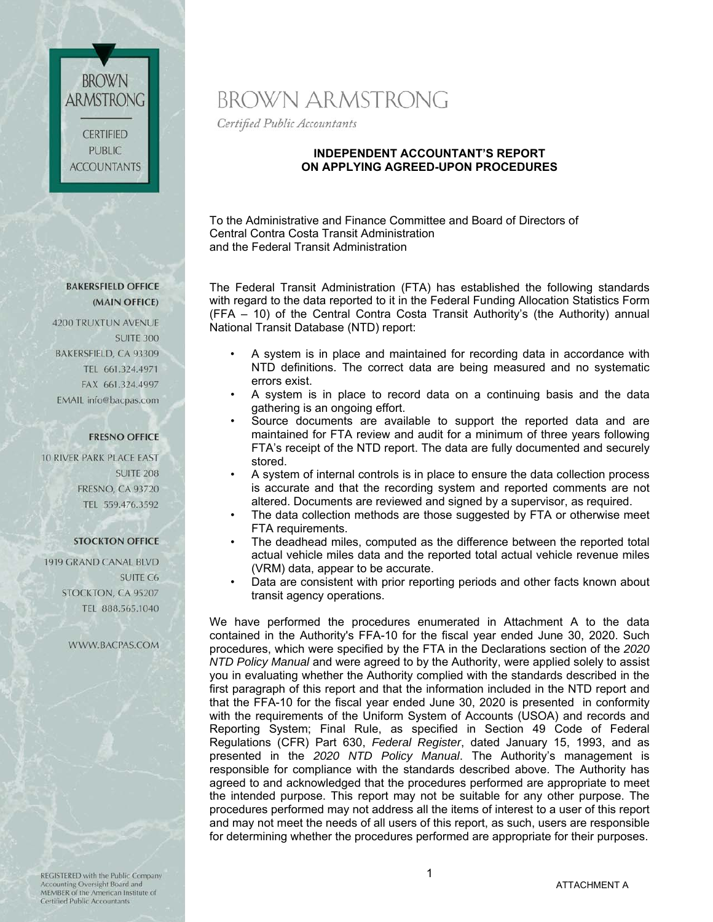**BROWN** ARMSTRONG **CERTIFIED** PUBLIC. **ACCOUNTANTS** 

# BROWN ARMSTRONG

Certified Public Accountants

### **INDEPENDENT ACCOUNTANT'S REPORT ON APPLYING AGREED-UPON PROCEDURES**

To the Administrative and Finance Committee and Board of Directors of Central Contra Costa Transit Administration and the Federal Transit Administration

The Federal Transit Administration (FTA) has established the following standards with regard to the data reported to it in the Federal Funding Allocation Statistics Form (FFA – 10) of the Central Contra Costa Transit Authority's (the Authority) annual National Transit Database (NTD) report:

- A system is in place and maintained for recording data in accordance with NTD definitions. The correct data are being measured and no systematic errors exist.
- A system is in place to record data on a continuing basis and the data gathering is an ongoing effort.
- Source documents are available to support the reported data and are maintained for FTA review and audit for a minimum of three years following FTA's receipt of the NTD report. The data are fully documented and securely stored.
- A system of internal controls is in place to ensure the data collection process is accurate and that the recording system and reported comments are not altered. Documents are reviewed and signed by a supervisor, as required.
- The data collection methods are those suggested by FTA or otherwise meet FTA requirements.
- The deadhead miles, computed as the difference between the reported total actual vehicle miles data and the reported total actual vehicle revenue miles (VRM) data, appear to be accurate.
- Data are consistent with prior reporting periods and other facts known about transit agency operations.

We have performed the procedures enumerated in Attachment A to the data contained in the Authority's FFA-10 for the fiscal year ended June 30, 2020. Such procedures, which were specified by the FTA in the Declarations section of the *2020 NTD Policy Manual* and were agreed to by the Authority, were applied solely to assist you in evaluating whether the Authority complied with the standards described in the first paragraph of this report and that the information included in the NTD report and that the FFA-10 for the fiscal year ended June 30, 2020 is presented in conformity with the requirements of the Uniform System of Accounts (USOA) and records and Reporting System; Final Rule, as specified in Section 49 Code of Federal Regulations (CFR) Part 630, *Federal Register*, dated January 15, 1993, and as presented in the *2020 NTD Policy Manual*. The Authority's management is responsible for compliance with the standards described above. The Authority has agreed to and acknowledged that the procedures performed are appropriate to meet the intended purpose. This report may not be suitable for any other purpose. The procedures performed may not address all the items of interest to a user of this report and may not meet the needs of all users of this report, as such, users are responsible for determining whether the procedures performed are appropriate for their purposes.

#### **BAKERSFIELD OFFICE** (MAIN OFFICE)

4200 TRUXTUN AVENUE **SUITE 300** BAKERSFIELD, CA 93309 TEL 661.324.4971 FAX 661.324.4997 EMAIL info@bacpas.com

# **FRESNO OFFICE**

**10 RIVER PARK PLACE EAST. SUITE 208 FRESNO, CA 93720** TEL 559.476.3592

## **STOCKTON OFFICE**

1919 GRAND CANAL BLVD **SUITE C6** STOCKTON, CA 95207 TEL 888.565.1040

#### WWW.BACPAS.COM

REGISTERED with the Public Company Accounting Oversight Board and MEMBER of the American Institute of Certified Public Accountants

1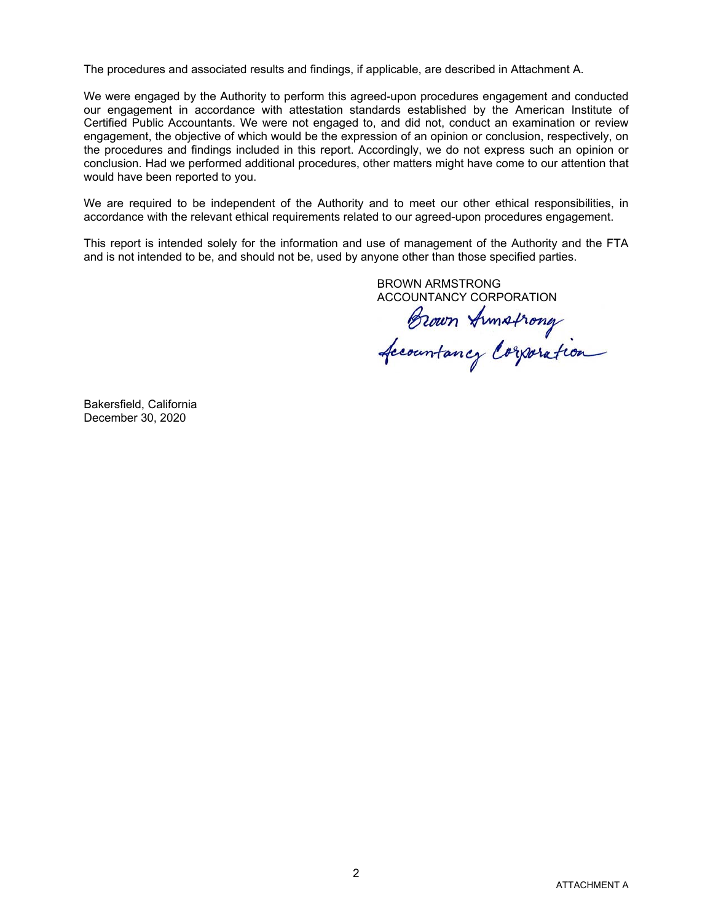The procedures and associated results and findings, if applicable, are described in Attachment A.

We were engaged by the Authority to perform this agreed-upon procedures engagement and conducted our engagement in accordance with attestation standards established by the American Institute of Certified Public Accountants. We were not engaged to, and did not, conduct an examination or review engagement, the objective of which would be the expression of an opinion or conclusion, respectively, on the procedures and findings included in this report. Accordingly, we do not express such an opinion or conclusion. Had we performed additional procedures, other matters might have come to our attention that would have been reported to you.

We are required to be independent of the Authority and to meet our other ethical responsibilities, in accordance with the relevant ethical requirements related to our agreed-upon procedures engagement.

This report is intended solely for the information and use of management of the Authority and the FTA and is not intended to be, and should not be, used by anyone other than those specified parties.

BROWN ARMSTRONG

ACCOUNTANCY CORPORATION<br>Brown Armstrong<br>Accountancy Corporation

Bakersfield, California December 30, 2020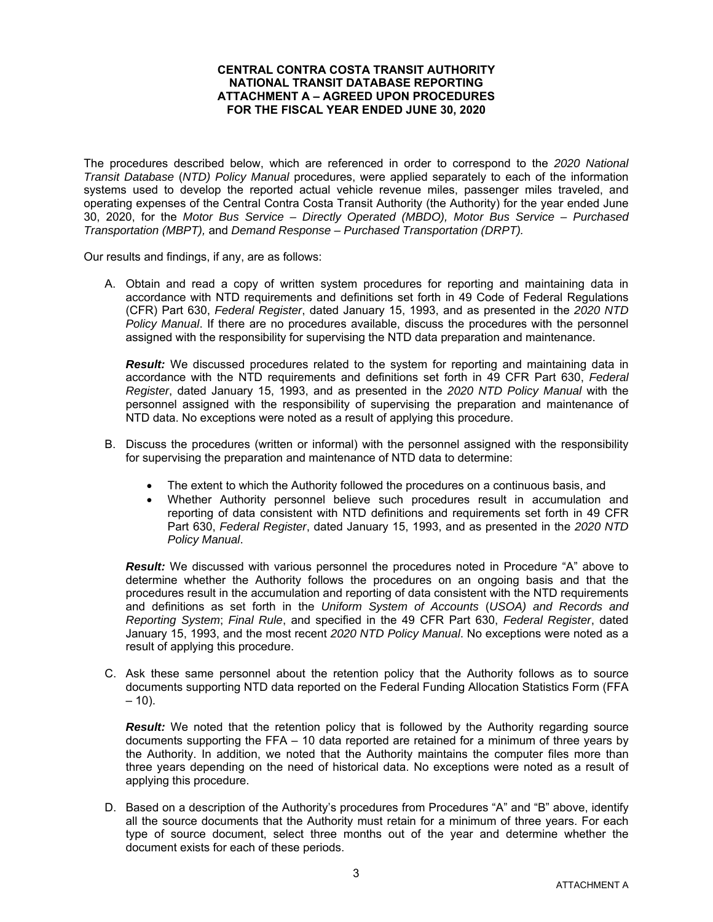#### **CENTRAL CONTRA COSTA TRANSIT AUTHORITY NATIONAL TRANSIT DATABASE REPORTING ATTACHMENT A – AGREED UPON PROCEDURES FOR THE FISCAL YEAR ENDED JUNE 30, 2020**

The procedures described below, which are referenced in order to correspond to the *2020 National Transit Database* (*NTD) Policy Manual* procedures, were applied separately to each of the information systems used to develop the reported actual vehicle revenue miles, passenger miles traveled, and operating expenses of the Central Contra Costa Transit Authority (the Authority) for the year ended June 30, 2020, for the *Motor Bus Service – Directly Operated (MBDO), Motor Bus Service – Purchased Transportation (MBPT),* and *Demand Response – Purchased Transportation (DRPT).* 

Our results and findings, if any, are as follows:

A. Obtain and read a copy of written system procedures for reporting and maintaining data in accordance with NTD requirements and definitions set forth in 49 Code of Federal Regulations (CFR) Part 630, *Federal Register*, dated January 15, 1993, and as presented in the *2020 NTD Policy Manual*. If there are no procedures available, discuss the procedures with the personnel assigned with the responsibility for supervising the NTD data preparation and maintenance.

**Result:** We discussed procedures related to the system for reporting and maintaining data in accordance with the NTD requirements and definitions set forth in 49 CFR Part 630, *Federal Register*, dated January 15, 1993, and as presented in the *2020 NTD Policy Manual* with the personnel assigned with the responsibility of supervising the preparation and maintenance of NTD data. No exceptions were noted as a result of applying this procedure.

- B. Discuss the procedures (written or informal) with the personnel assigned with the responsibility for supervising the preparation and maintenance of NTD data to determine:
	- The extent to which the Authority followed the procedures on a continuous basis, and
	- Whether Authority personnel believe such procedures result in accumulation and reporting of data consistent with NTD definitions and requirements set forth in 49 CFR Part 630, *Federal Register*, dated January 15, 1993, and as presented in the *2020 NTD Policy Manual*.

**Result:** We discussed with various personnel the procedures noted in Procedure "A" above to determine whether the Authority follows the procedures on an ongoing basis and that the procedures result in the accumulation and reporting of data consistent with the NTD requirements and definitions as set forth in the *Uniform System of Accounts* (*USOA) and Records and Reporting System*; *Final Rule*, and specified in the 49 CFR Part 630, *Federal Register*, dated January 15, 1993, and the most recent *2020 NTD Policy Manual*. No exceptions were noted as a result of applying this procedure.

C. Ask these same personnel about the retention policy that the Authority follows as to source documents supporting NTD data reported on the Federal Funding Allocation Statistics Form (FFA  $-10$ ).

**Result:** We noted that the retention policy that is followed by the Authority regarding source documents supporting the FFA – 10 data reported are retained for a minimum of three years by the Authority. In addition, we noted that the Authority maintains the computer files more than three years depending on the need of historical data. No exceptions were noted as a result of applying this procedure.

D. Based on a description of the Authority's procedures from Procedures "A" and "B" above, identify all the source documents that the Authority must retain for a minimum of three years. For each type of source document, select three months out of the year and determine whether the document exists for each of these periods.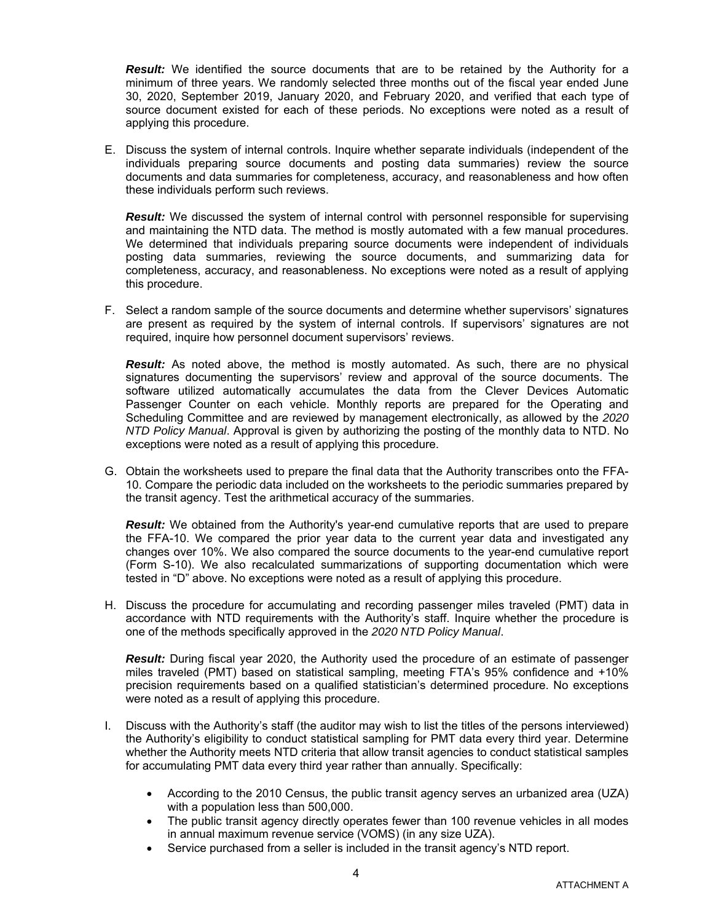*Result:* We identified the source documents that are to be retained by the Authority for a minimum of three years. We randomly selected three months out of the fiscal year ended June 30, 2020, September 2019, January 2020, and February 2020, and verified that each type of source document existed for each of these periods. No exceptions were noted as a result of applying this procedure.

E. Discuss the system of internal controls. Inquire whether separate individuals (independent of the individuals preparing source documents and posting data summaries) review the source documents and data summaries for completeness, accuracy, and reasonableness and how often these individuals perform such reviews.

**Result:** We discussed the system of internal control with personnel responsible for supervising and maintaining the NTD data. The method is mostly automated with a few manual procedures. We determined that individuals preparing source documents were independent of individuals posting data summaries, reviewing the source documents, and summarizing data for completeness, accuracy, and reasonableness. No exceptions were noted as a result of applying this procedure.

F. Select a random sample of the source documents and determine whether supervisors' signatures are present as required by the system of internal controls. If supervisors' signatures are not required, inquire how personnel document supervisors' reviews.

**Result:** As noted above, the method is mostly automated. As such, there are no physical signatures documenting the supervisors' review and approval of the source documents. The software utilized automatically accumulates the data from the Clever Devices Automatic Passenger Counter on each vehicle. Monthly reports are prepared for the Operating and Scheduling Committee and are reviewed by management electronically, as allowed by the *2020 NTD Policy Manual*. Approval is given by authorizing the posting of the monthly data to NTD. No exceptions were noted as a result of applying this procedure.

G. Obtain the worksheets used to prepare the final data that the Authority transcribes onto the FFA-10. Compare the periodic data included on the worksheets to the periodic summaries prepared by the transit agency. Test the arithmetical accuracy of the summaries.

*Result:* We obtained from the Authority's year-end cumulative reports that are used to prepare the FFA-10. We compared the prior year data to the current year data and investigated any changes over 10%. We also compared the source documents to the year-end cumulative report (Form S-10). We also recalculated summarizations of supporting documentation which were tested in "D" above. No exceptions were noted as a result of applying this procedure.

H. Discuss the procedure for accumulating and recording passenger miles traveled (PMT) data in accordance with NTD requirements with the Authority's staff. Inquire whether the procedure is one of the methods specifically approved in the *2020 NTD Policy Manual*.

*Result:* During fiscal year 2020, the Authority used the procedure of an estimate of passenger miles traveled (PMT) based on statistical sampling, meeting FTA's 95% confidence and +10% precision requirements based on a qualified statistician's determined procedure. No exceptions were noted as a result of applying this procedure.

- I. Discuss with the Authority's staff (the auditor may wish to list the titles of the persons interviewed) the Authority's eligibility to conduct statistical sampling for PMT data every third year. Determine whether the Authority meets NTD criteria that allow transit agencies to conduct statistical samples for accumulating PMT data every third year rather than annually. Specifically:
	- According to the 2010 Census, the public transit agency serves an urbanized area (UZA) with a population less than 500,000.
	- The public transit agency directly operates fewer than 100 revenue vehicles in all modes in annual maximum revenue service (VOMS) (in any size UZA).
	- Service purchased from a seller is included in the transit agency's NTD report.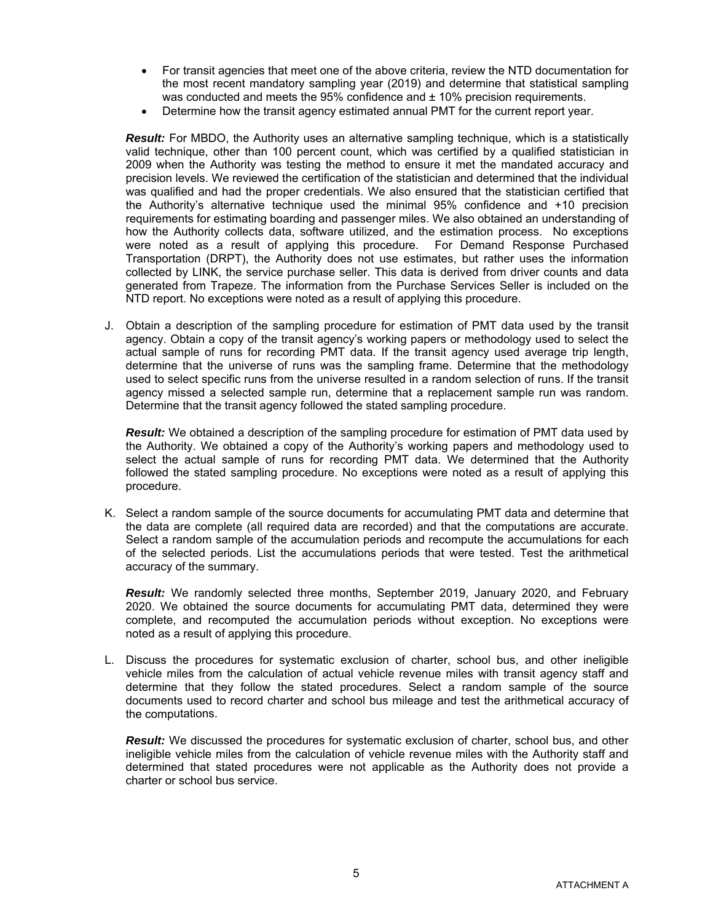- For transit agencies that meet one of the above criteria, review the NTD documentation for the most recent mandatory sampling year (2019) and determine that statistical sampling was conducted and meets the 95% confidence and  $\pm$  10% precision requirements.
- Determine how the transit agency estimated annual PMT for the current report year.

*Result:* For MBDO, the Authority uses an alternative sampling technique, which is a statistically valid technique, other than 100 percent count, which was certified by a qualified statistician in 2009 when the Authority was testing the method to ensure it met the mandated accuracy and precision levels. We reviewed the certification of the statistician and determined that the individual was qualified and had the proper credentials. We also ensured that the statistician certified that the Authority's alternative technique used the minimal 95% confidence and +10 precision requirements for estimating boarding and passenger miles. We also obtained an understanding of how the Authority collects data, software utilized, and the estimation process. No exceptions were noted as a result of applying this procedure. For Demand Response Purchased Transportation (DRPT), the Authority does not use estimates, but rather uses the information collected by LINK, the service purchase seller. This data is derived from driver counts and data generated from Trapeze. The information from the Purchase Services Seller is included on the NTD report. No exceptions were noted as a result of applying this procedure.

J. Obtain a description of the sampling procedure for estimation of PMT data used by the transit agency. Obtain a copy of the transit agency's working papers or methodology used to select the actual sample of runs for recording PMT data. If the transit agency used average trip length, determine that the universe of runs was the sampling frame. Determine that the methodology used to select specific runs from the universe resulted in a random selection of runs. If the transit agency missed a selected sample run, determine that a replacement sample run was random. Determine that the transit agency followed the stated sampling procedure.

*Result:* We obtained a description of the sampling procedure for estimation of PMT data used by the Authority. We obtained a copy of the Authority's working papers and methodology used to select the actual sample of runs for recording PMT data. We determined that the Authority followed the stated sampling procedure. No exceptions were noted as a result of applying this procedure.

K. Select a random sample of the source documents for accumulating PMT data and determine that the data are complete (all required data are recorded) and that the computations are accurate. Select a random sample of the accumulation periods and recompute the accumulations for each of the selected periods. List the accumulations periods that were tested. Test the arithmetical accuracy of the summary.

*Result:* We randomly selected three months, September 2019, January 2020, and February 2020. We obtained the source documents for accumulating PMT data, determined they were complete, and recomputed the accumulation periods without exception. No exceptions were noted as a result of applying this procedure.

L. Discuss the procedures for systematic exclusion of charter, school bus, and other ineligible vehicle miles from the calculation of actual vehicle revenue miles with transit agency staff and determine that they follow the stated procedures. Select a random sample of the source documents used to record charter and school bus mileage and test the arithmetical accuracy of the computations.

*Result:* We discussed the procedures for systematic exclusion of charter, school bus, and other ineligible vehicle miles from the calculation of vehicle revenue miles with the Authority staff and determined that stated procedures were not applicable as the Authority does not provide a charter or school bus service.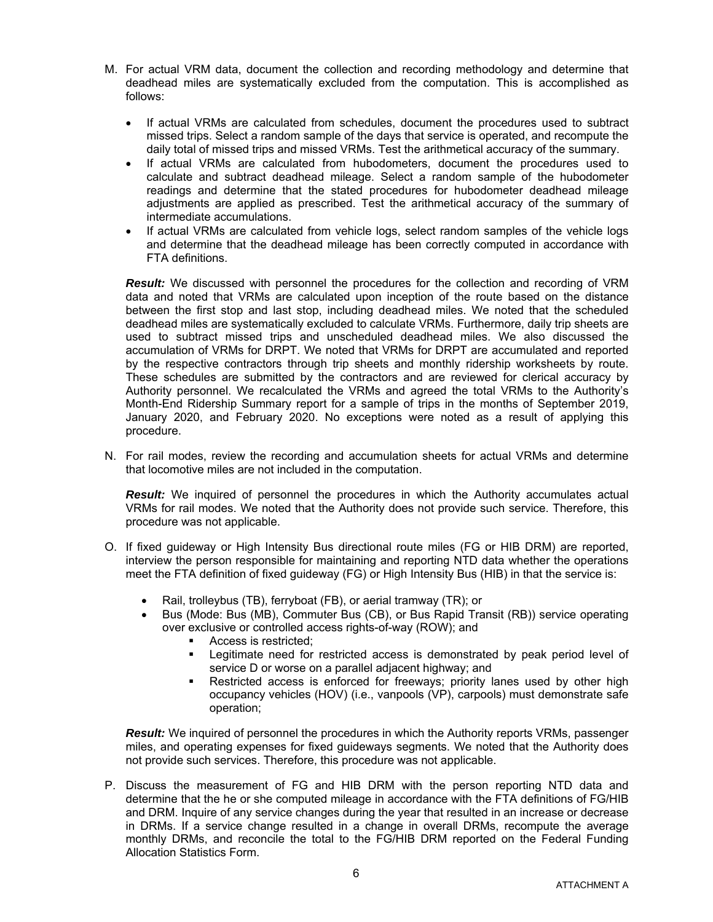- M. For actual VRM data, document the collection and recording methodology and determine that deadhead miles are systematically excluded from the computation. This is accomplished as follows:
	- If actual VRMs are calculated from schedules, document the procedures used to subtract missed trips. Select a random sample of the days that service is operated, and recompute the daily total of missed trips and missed VRMs. Test the arithmetical accuracy of the summary.
	- If actual VRMs are calculated from hubodometers, document the procedures used to calculate and subtract deadhead mileage. Select a random sample of the hubodometer readings and determine that the stated procedures for hubodometer deadhead mileage adjustments are applied as prescribed. Test the arithmetical accuracy of the summary of intermediate accumulations.
	- If actual VRMs are calculated from vehicle logs, select random samples of the vehicle logs and determine that the deadhead mileage has been correctly computed in accordance with FTA definitions.

*Result:* We discussed with personnel the procedures for the collection and recording of VRM data and noted that VRMs are calculated upon inception of the route based on the distance between the first stop and last stop, including deadhead miles. We noted that the scheduled deadhead miles are systematically excluded to calculate VRMs. Furthermore, daily trip sheets are used to subtract missed trips and unscheduled deadhead miles. We also discussed the accumulation of VRMs for DRPT. We noted that VRMs for DRPT are accumulated and reported by the respective contractors through trip sheets and monthly ridership worksheets by route. These schedules are submitted by the contractors and are reviewed for clerical accuracy by Authority personnel. We recalculated the VRMs and agreed the total VRMs to the Authority's Month-End Ridership Summary report for a sample of trips in the months of September 2019, January 2020, and February 2020. No exceptions were noted as a result of applying this procedure.

N. For rail modes, review the recording and accumulation sheets for actual VRMs and determine that locomotive miles are not included in the computation.

**Result:** We inquired of personnel the procedures in which the Authority accumulates actual VRMs for rail modes. We noted that the Authority does not provide such service. Therefore, this procedure was not applicable.

- O. If fixed guideway or High Intensity Bus directional route miles (FG or HIB DRM) are reported, interview the person responsible for maintaining and reporting NTD data whether the operations meet the FTA definition of fixed guideway (FG) or High Intensity Bus (HIB) in that the service is:
	- Rail, trolleybus (TB), ferryboat (FB), or aerial tramway (TR); or
	- Bus (Mode: Bus (MB), Commuter Bus (CB), or Bus Rapid Transit (RB)) service operating over exclusive or controlled access rights-of-way (ROW); and
		- Access is restricted;
		- Legitimate need for restricted access is demonstrated by peak period level of service D or worse on a parallel adjacent highway; and
		- Restricted access is enforced for freeways; priority lanes used by other high occupancy vehicles (HOV) (i.e., vanpools (VP), carpools) must demonstrate safe operation;

*Result:* We inquired of personnel the procedures in which the Authority reports VRMs, passenger miles, and operating expenses for fixed guideways segments. We noted that the Authority does not provide such services. Therefore, this procedure was not applicable.

P. Discuss the measurement of FG and HIB DRM with the person reporting NTD data and determine that the he or she computed mileage in accordance with the FTA definitions of FG/HIB and DRM. Inquire of any service changes during the year that resulted in an increase or decrease in DRMs. If a service change resulted in a change in overall DRMs, recompute the average monthly DRMs, and reconcile the total to the FG/HIB DRM reported on the Federal Funding Allocation Statistics Form.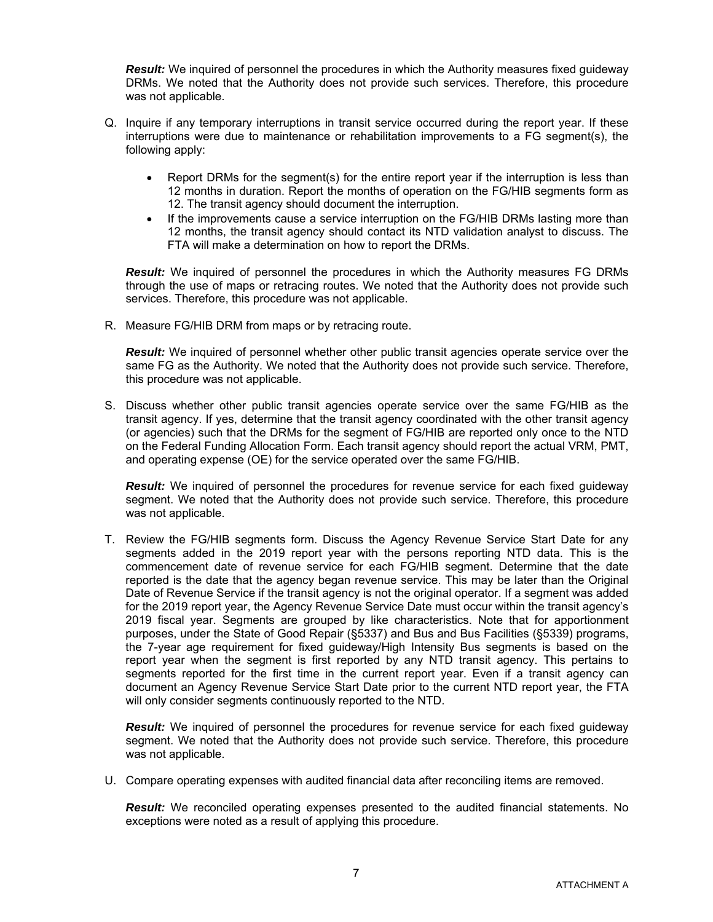*Result:* We inquired of personnel the procedures in which the Authority measures fixed guideway DRMs. We noted that the Authority does not provide such services. Therefore, this procedure was not applicable.

- Q. Inquire if any temporary interruptions in transit service occurred during the report year. If these interruptions were due to maintenance or rehabilitation improvements to a FG segment(s), the following apply:
	- Report DRMs for the segment(s) for the entire report year if the interruption is less than 12 months in duration. Report the months of operation on the FG/HIB segments form as 12. The transit agency should document the interruption.
	- If the improvements cause a service interruption on the FG/HIB DRMs lasting more than 12 months, the transit agency should contact its NTD validation analyst to discuss. The FTA will make a determination on how to report the DRMs.

*Result:* We inquired of personnel the procedures in which the Authority measures FG DRMs through the use of maps or retracing routes. We noted that the Authority does not provide such services. Therefore, this procedure was not applicable.

R. Measure FG/HIB DRM from maps or by retracing route.

**Result:** We inquired of personnel whether other public transit agencies operate service over the same FG as the Authority. We noted that the Authority does not provide such service. Therefore, this procedure was not applicable.

S. Discuss whether other public transit agencies operate service over the same FG/HIB as the transit agency. If yes, determine that the transit agency coordinated with the other transit agency (or agencies) such that the DRMs for the segment of FG/HIB are reported only once to the NTD on the Federal Funding Allocation Form. Each transit agency should report the actual VRM, PMT, and operating expense (OE) for the service operated over the same FG/HIB.

*Result:* We inquired of personnel the procedures for revenue service for each fixed guideway segment. We noted that the Authority does not provide such service. Therefore, this procedure was not applicable.

T. Review the FG/HIB segments form. Discuss the Agency Revenue Service Start Date for any segments added in the 2019 report year with the persons reporting NTD data. This is the commencement date of revenue service for each FG/HIB segment. Determine that the date reported is the date that the agency began revenue service. This may be later than the Original Date of Revenue Service if the transit agency is not the original operator. If a segment was added for the 2019 report year, the Agency Revenue Service Date must occur within the transit agency's 2019 fiscal year. Segments are grouped by like characteristics. Note that for apportionment purposes, under the State of Good Repair (§5337) and Bus and Bus Facilities (§5339) programs, the 7-year age requirement for fixed guideway/High Intensity Bus segments is based on the report year when the segment is first reported by any NTD transit agency. This pertains to segments reported for the first time in the current report year. Even if a transit agency can document an Agency Revenue Service Start Date prior to the current NTD report year, the FTA will only consider segments continuously reported to the NTD.

**Result:** We inquired of personnel the procedures for revenue service for each fixed quideway segment. We noted that the Authority does not provide such service. Therefore, this procedure was not applicable.

U. Compare operating expenses with audited financial data after reconciling items are removed.

**Result:** We reconciled operating expenses presented to the audited financial statements. No exceptions were noted as a result of applying this procedure.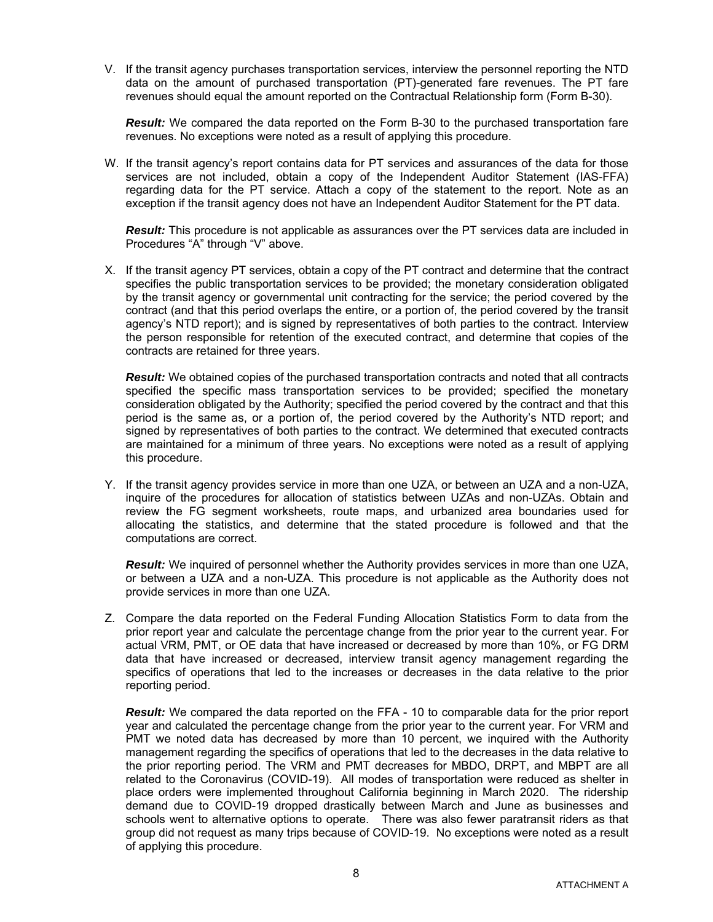V. If the transit agency purchases transportation services, interview the personnel reporting the NTD data on the amount of purchased transportation (PT)-generated fare revenues. The PT fare revenues should equal the amount reported on the Contractual Relationship form (Form B-30).

*Result:* We compared the data reported on the Form B-30 to the purchased transportation fare revenues. No exceptions were noted as a result of applying this procedure.

W. If the transit agency's report contains data for PT services and assurances of the data for those services are not included, obtain a copy of the Independent Auditor Statement (IAS-FFA) regarding data for the PT service. Attach a copy of the statement to the report. Note as an exception if the transit agency does not have an Independent Auditor Statement for the PT data.

*Result:* This procedure is not applicable as assurances over the PT services data are included in Procedures "A" through "V" above.

X. If the transit agency PT services, obtain a copy of the PT contract and determine that the contract specifies the public transportation services to be provided; the monetary consideration obligated by the transit agency or governmental unit contracting for the service; the period covered by the contract (and that this period overlaps the entire, or a portion of, the period covered by the transit agency's NTD report); and is signed by representatives of both parties to the contract. Interview the person responsible for retention of the executed contract, and determine that copies of the contracts are retained for three years.

*Result:* We obtained copies of the purchased transportation contracts and noted that all contracts specified the specific mass transportation services to be provided; specified the monetary consideration obligated by the Authority; specified the period covered by the contract and that this period is the same as, or a portion of, the period covered by the Authority's NTD report; and signed by representatives of both parties to the contract. We determined that executed contracts are maintained for a minimum of three years. No exceptions were noted as a result of applying this procedure.

Y. If the transit agency provides service in more than one UZA, or between an UZA and a non-UZA, inquire of the procedures for allocation of statistics between UZAs and non-UZAs. Obtain and review the FG segment worksheets, route maps, and urbanized area boundaries used for allocating the statistics, and determine that the stated procedure is followed and that the computations are correct.

*Result:* We inquired of personnel whether the Authority provides services in more than one UZA, or between a UZA and a non-UZA. This procedure is not applicable as the Authority does not provide services in more than one UZA.

Z. Compare the data reported on the Federal Funding Allocation Statistics Form to data from the prior report year and calculate the percentage change from the prior year to the current year. For actual VRM, PMT, or OE data that have increased or decreased by more than 10%, or FG DRM data that have increased or decreased, interview transit agency management regarding the specifics of operations that led to the increases or decreases in the data relative to the prior reporting period.

**Result:** We compared the data reported on the FFA - 10 to comparable data for the prior report year and calculated the percentage change from the prior year to the current year. For VRM and PMT we noted data has decreased by more than 10 percent, we inquired with the Authority management regarding the specifics of operations that led to the decreases in the data relative to the prior reporting period. The VRM and PMT decreases for MBDO, DRPT, and MBPT are all related to the Coronavirus (COVID-19). All modes of transportation were reduced as shelter in place orders were implemented throughout California beginning in March 2020. The ridership demand due to COVID-19 dropped drastically between March and June as businesses and schools went to alternative options to operate. There was also fewer paratransit riders as that group did not request as many trips because of COVID-19. No exceptions were noted as a result of applying this procedure.